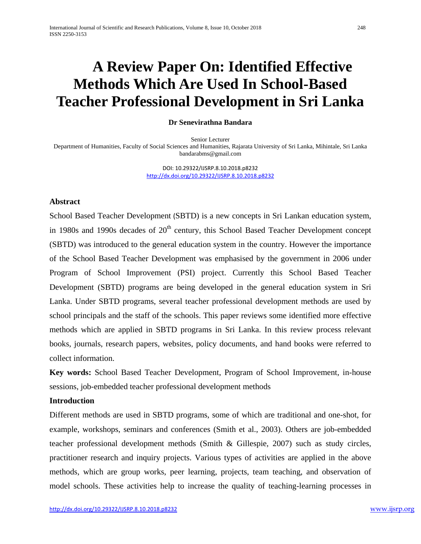# **A Review Paper On: Identified Effective Methods Which Are Used In School-Based Teacher Professional Development in Sri Lanka**

#### **Dr Senevirathna Bandara**

Senior Lecturer Department of Humanities, Faculty of Social Sciences and Humanities, Rajarata University of Sri Lanka, Mihintale, Sri Lanka [bandarabms@gmail.com](mailto:bandarabms@gmail.com)

> DOI: 10.29322/IJSRP.8.10.2018.p8232 <http://dx.doi.org/10.29322/IJSRP.8.10.2018.p8232>

#### **Abstract**

School Based Teacher Development (SBTD) is a new concepts in Sri Lankan education system, in 1980s and 1990s decades of  $20<sup>th</sup>$  century, this School Based Teacher Development concept (SBTD) was introduced to the general education system in the country. However the importance of the School Based Teacher Development was emphasised by the government in 2006 under Program of School Improvement (PSI) project. Currently this School Based Teacher Development (SBTD) programs are being developed in the general education system in Sri Lanka. Under SBTD programs, several teacher professional development methods are used by school principals and the staff of the schools. This paper reviews some identified more effective methods which are applied in SBTD programs in Sri Lanka. In this review process relevant books, journals, research papers, websites, policy documents, and hand books were referred to collect information.

**Key words:** School Based Teacher Development, Program of School Improvement, in-house sessions, job-embedded teacher professional development methods

### **Introduction**

Different methods are used in SBTD programs, some of which are traditional and one-shot, for example, workshops, seminars and conferences (Smith et al., 2003). Others are job-embedded teacher professional development methods (Smith & Gillespie, 2007) such as study circles, practitioner research and inquiry projects. Various types of activities are applied in the above methods, which are group works, peer learning, projects, team teaching, and observation of model schools. These activities help to increase the quality of teaching-learning processes in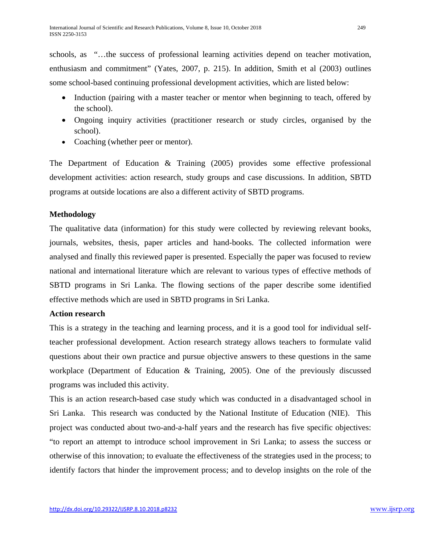schools, as "…the success of professional learning activities depend on teacher motivation, enthusiasm and commitment" (Yates, 2007, p. 215). In addition, Smith et al (2003) outlines some school-based continuing professional development activities, which are listed below:

- Induction (pairing with a master teacher or mentor when beginning to teach, offered by the school).
- Ongoing inquiry activities (practitioner research or study circles, organised by the school).
- Coaching (whether peer or mentor).

The Department of Education & Training (2005) provides some effective professional development activities: action research, study groups and case discussions. In addition, SBTD programs at outside locations are also a different activity of SBTD programs.

## **Methodology**

The qualitative data (information) for this study were collected by reviewing relevant books, journals, websites, thesis, paper articles and hand-books. The collected information were analysed and finally this reviewed paper is presented. Especially the paper was focused to review national and international literature which are relevant to various types of effective methods of SBTD programs in Sri Lanka. The flowing sections of the paper describe some identified effective methods which are used in SBTD programs in Sri Lanka.

# **Action research**

This is a strategy in the teaching and learning process, and it is a good tool for individual selfteacher professional development. Action research strategy allows teachers to formulate valid questions about their own practice and pursue objective answers to these questions in the same workplace (Department of Education & Training, 2005). One of the previously discussed programs was included this activity.

This is an action research-based case study which was conducted in a disadvantaged school in Sri Lanka. This research was conducted by the National Institute of Education (NIE). This project was conducted about two-and-a-half years and the research has five specific objectives: "to report an attempt to introduce school improvement in Sri Lanka; to assess the success or otherwise of this innovation; to evaluate the effectiveness of the strategies used in the process; to identify factors that hinder the improvement process; and to develop insights on the role of the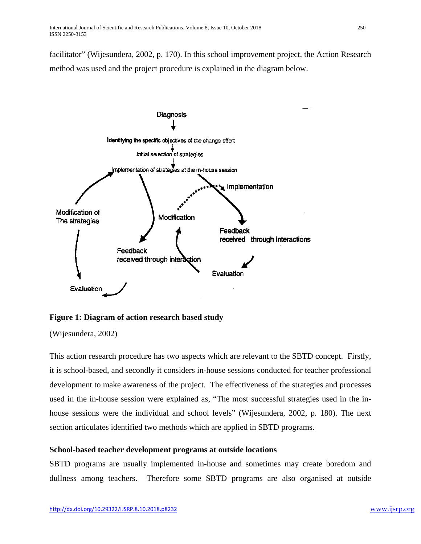facilitator" (Wijesundera, 2002, p. 170). In this school improvement project, the Action Research method was used and the project procedure is explained in the diagram below.



**Figure 1: Diagram of action research based study**

(Wijesundera, 2002)

This action research procedure has two aspects which are relevant to the SBTD concept. Firstly, it is school-based, and secondly it considers in-house sessions conducted for teacher professional development to make awareness of the project. The effectiveness of the strategies and processes used in the in-house session were explained as, "The most successful strategies used in the inhouse sessions were the individual and school levels" (Wijesundera, 2002, p. 180). The next section articulates identified two methods which are applied in SBTD programs.

# **School-based teacher development programs at outside locations**

SBTD programs are usually implemented in-house and sometimes may create boredom and dullness among teachers. Therefore some SBTD programs are also organised at outside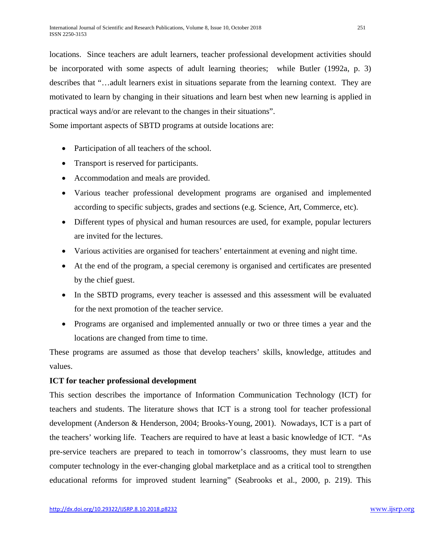locations. Since teachers are adult learners, teacher professional development activities should be incorporated with some aspects of adult learning theories; while Butler (1992a, p. 3) describes that "…adult learners exist in situations separate from the learning context. They are motivated to learn by changing in their situations and learn best when new learning is applied in practical ways and/or are relevant to the changes in their situations".

Some important aspects of SBTD programs at outside locations are:

- Participation of all teachers of the school.
- Transport is reserved for participants.
- Accommodation and meals are provided.
- Various teacher professional development programs are organised and implemented according to specific subjects, grades and sections (e.g. Science, Art, Commerce, etc).
- Different types of physical and human resources are used, for example, popular lecturers are invited for the lectures.
- Various activities are organised for teachers' entertainment at evening and night time.
- At the end of the program, a special ceremony is organised and certificates are presented by the chief guest.
- In the SBTD programs, every teacher is assessed and this assessment will be evaluated for the next promotion of the teacher service.
- Programs are organised and implemented annually or two or three times a year and the locations are changed from time to time.

These programs are assumed as those that develop teachers' skills, knowledge, attitudes and values.

# **ICT for teacher professional development**

This section describes the importance of Information Communication Technology (ICT) for teachers and students. The literature shows that ICT is a strong tool for teacher professional development (Anderson & Henderson, 2004; Brooks-Young, 2001). Nowadays, ICT is a part of the teachers' working life. Teachers are required to have at least a basic knowledge of ICT. "As pre-service teachers are prepared to teach in tomorrow's classrooms, they must learn to use computer technology in the ever-changing global marketplace and as a critical tool to strengthen educational reforms for improved student learning" (Seabrooks et al., 2000, p. 219). This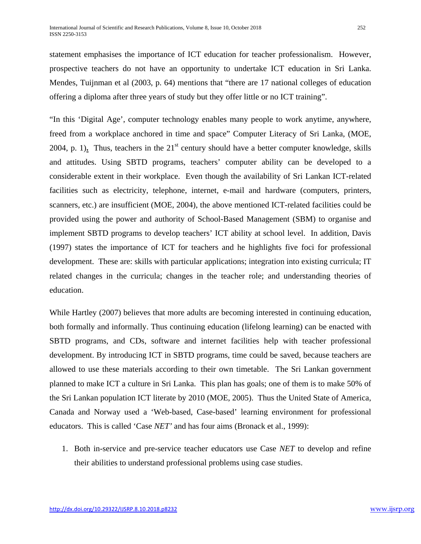statement emphasises the importance of ICT education for teacher professionalism. However, prospective teachers do not have an opportunity to undertake ICT education in Sri Lanka. Mendes, Tuijnman et al (2003, p. 64) mentions that "there are 17 national colleges of education offering a diploma after three years of study but they offer little or no ICT training".

"In this 'Digital Age', computer technology enables many people to work anytime, anywhere, freed from a workplace anchored in time and space" Computer Literacy of Sri Lanka, (MOE, 2004, p. 1). Thus, teachers in the  $21<sup>st</sup>$  century should have a better computer knowledge, skills and attitudes. Using SBTD programs, teachers' computer ability can be developed to a considerable extent in their workplace. Even though the availability of Sri Lankan ICT-related facilities such as electricity, telephone, internet, e-mail and hardware (computers, printers, scanners, etc.) are insufficient (MOE, 2004), the above mentioned ICT-related facilities could be provided using the power and authority of School-Based Management (SBM) to organise and implement SBTD programs to develop teachers' ICT ability at school level. In addition, Davis (1997) states the importance of ICT for teachers and he highlights five foci for professional development. These are: skills with particular applications; integration into existing curricula; IT related changes in the curricula; changes in the teacher role; and understanding theories of education.

While Hartley (2007) believes that more adults are becoming interested in continuing education, both formally and informally. Thus continuing education (lifelong learning) can be enacted with SBTD programs, and CDs, software and internet facilities help with teacher professional development. By introducing ICT in SBTD programs, time could be saved, because teachers are allowed to use these materials according to their own timetable. The Sri Lankan government planned to make ICT a culture in Sri Lanka. This plan has goals; one of them is to make 50% of the Sri Lankan population ICT literate by 2010 (MOE, 2005). Thus the United State of America, Canada and Norway used a 'Web-based, Case-based' learning environment for professional educators. This is called 'Case *NET'* and has four aims (Bronack et al., 1999):

1. Both in-service and pre-service teacher educators use Case *NET* to develop and refine their abilities to understand professional problems using case studies.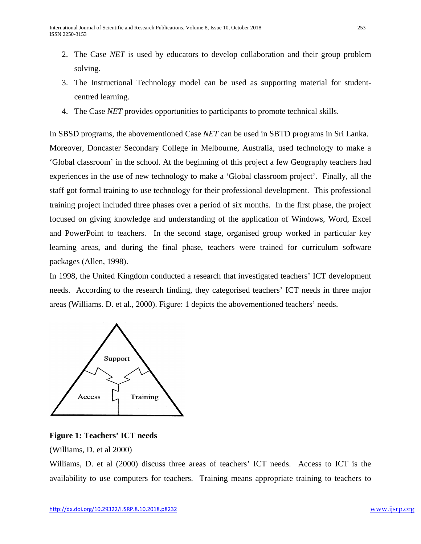- 2. The Case *NET* is used by educators to develop collaboration and their group problem solving.
- 3. The Instructional Technology model can be used as supporting material for studentcentred learning.
- 4. The Case *NET* provides opportunities to participants to promote technical skills.

In SBSD programs, the abovementioned Case *NET* can be used in SBTD programs in Sri Lanka. Moreover, Doncaster Secondary College in Melbourne, Australia, used technology to make a 'Global classroom' in the school. At the beginning of this project a few Geography teachers had experiences in the use of new technology to make a 'Global classroom project'. Finally, all the staff got formal training to use technology for their professional development. This professional training project included three phases over a period of six months. In the first phase, the project focused on giving knowledge and understanding of the application of Windows, Word, Excel and PowerPoint to teachers. In the second stage, organised group worked in particular key learning areas, and during the final phase, teachers were trained for curriculum software packages (Allen, 1998).

In 1998, the United Kingdom conducted a research that investigated teachers' ICT development needs. According to the research finding, they categorised teachers' ICT needs in three major areas (Williams. D. et al., 2000). Figure: 1 depicts the abovementioned teachers' needs.



## **Figure 1: Teachers' ICT needs**

(Williams, D. et al 2000)

Williams, D. et al (2000) discuss three areas of teachers' ICT needs. Access to ICT is the availability to use computers for teachers. Training means appropriate training to teachers to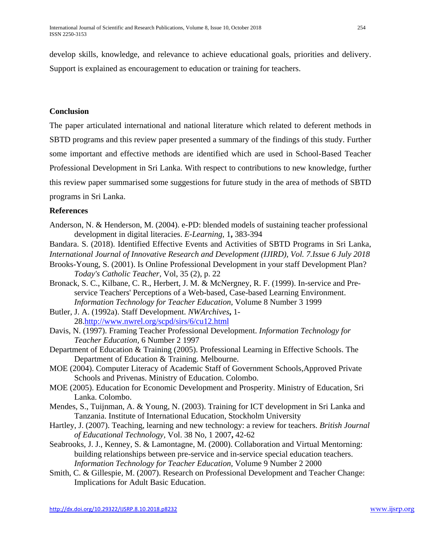develop skills, knowledge, and relevance to achieve educational goals, priorities and delivery. Support is explained as encouragement to education or training for teachers.

## **Conclusion**

The paper articulated international and national literature which related to deferent methods in SBTD programs and this review paper presented a summary of the findings of this study. Further some important and effective methods are identified which are used in School-Based Teacher Professional Development in Sri Lanka. With respect to contributions to new knowledge, further this review paper summarised some suggestions for future study in the area of methods of SBTD programs in Sri Lanka.

## **References**

- Anderson, N. & Henderson, M. (2004). e-PD: blended models of sustaining teacher professional development in digital literacies. *E-Learning,* 1**,** 383-394
- Bandara. S. (2018). Identified Effective Events and Activities of SBTD Programs in Sri Lanka,

*International Journal of Innovative Research and Development (IJIRD), Vol. 7.Issue 6 July 2018*

- Brooks-Young, S. (2001). Is Online Professional Development in your staff Development Plan? *Today's Catholic Teacher,* Vol, 35 (2), p. 22
- Bronack, S. C., Kilbane, C. R., Herbert, J. M. & McNergney, R. F. (1999). In-service and Preservice Teachers' Perceptions of a Web-based, Case-based Learning Environment. *Information Technology for Teacher Education,* Volume 8 Number 3 1999
- Butler, J. A. (1992a). Staff Development. *NWArchives***,** 1- 28[.http://www.nwrel.org/scpd/sirs/6/cu12.html](http://www.nwrel.org/scpd/sirs/6/cu12.html)
- Davis, N. (1997). Framing Teacher Professional Development. *Information Technology for Teacher Education,* 6 Number 2 1997
- Department of Education & Training (2005). Professional Learning in Effective Schools. The Department of Education & Training. Melbourne.
- MOE (2004). Computer Literacy of Academic Staff of Government Schools,Approved Private Schools and Privenas. Ministry of Education. Colombo.
- MOE (2005). Education for Economic Development and Prosperity. Ministry of Education, Sri Lanka. Colombo.
- Mendes, S., Tuijnman, A. & Young, N. (2003). Training for ICT development in Sri Lanka and Tanzania. Institute of International Education, Stockholm University
- Hartley, J. (2007). Teaching, learning and new technology: a review for teachers. *British Journal of Educational Technology,* Vol. 38 No, 1 2007**,** 42-62
- Seabrooks, J. J., Kenney, S. & Lamontagne, M. (2000). Collaboration and Virtual Mentorning: building relationships between pre-service and in-service special education teachers. *Information Technology for Teacher Education,* Volume 9 Number 2 2000
- Smith, C. & Gillespie, M. (2007). Research on Professional Development and Teacher Change: Implications for Adult Basic Education.